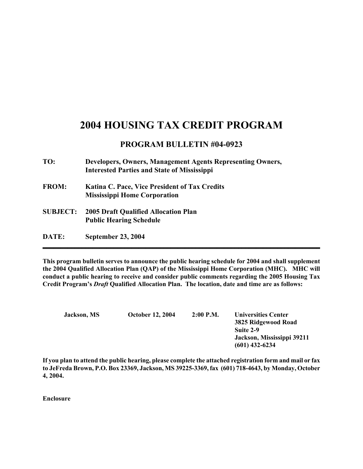## **2004 HOUSING TAX CREDIT PROGRAM**

## **PROGRAM BULLETIN #04-0923**

| TO:             | Developers, Owners, Management Agents Representing Owners,<br><b>Interested Parties and State of Mississippi</b> |
|-----------------|------------------------------------------------------------------------------------------------------------------|
| <b>FROM:</b>    | <b>Katina C. Pace, Vice President of Tax Credits</b><br><b>Mississippi Home Corporation</b>                      |
| <b>SUBJECT:</b> | <b>2005 Draft Qualified Allocation Plan</b><br><b>Public Hearing Schedule</b>                                    |
| DATE:           | September 23, 2004                                                                                               |

**This program bulletin serves to announce the public hearing schedule for 2004 and shall supplement the 2004 Qualified Allocation Plan (QAP) of the Mississippi Home Corporation (MHC). MHC will conduct a public hearing to receive and consider public comments regarding the 2005 Housing Tax Credit Program's** *Draft* **Qualified Allocation Plan. The location, date and time are as follows:** 

| <b>Jackson</b> , MS | <b>October 12, 2004</b> | $2:00$ P.M. | <b>Universities Center</b><br>3825 Ridgewood Road<br>Suite 2-9<br>Jackson, Mississippi 39211 |
|---------------------|-------------------------|-------------|----------------------------------------------------------------------------------------------|
|                     |                         |             | $(601)$ 432-6234                                                                             |

**If you plan to attend the public hearing, please complete the attached registration form and mail or fax to JeFreda Brown, P.O. Box 23369, Jackson, MS 39225-3369, fax (601) 718-4643, by Monday, October 4, 2004.** 

**Enclosure**